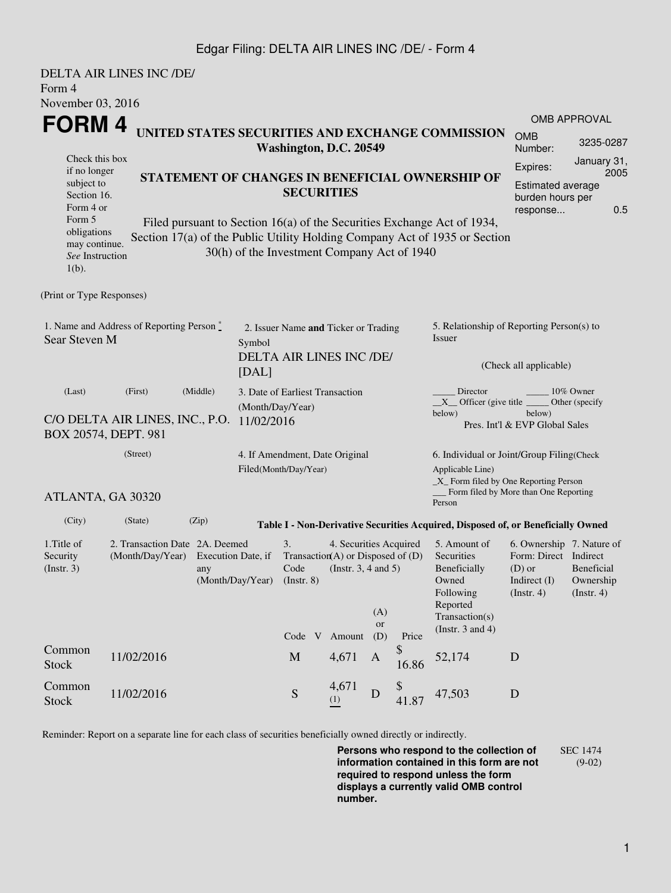### Edgar Filing: DELTA AIR LINES INC /DE/ - Form 4

DELTA AIR LINES INC /DE/ Form 4 November 03, 2016 **FORM 4** Check this box if no longer subject to Section 16. Form 4 or Form 5 obligations may continue. *See* Instruction 1(b). **UNITED STATES SECURITIES AND EXCHANGE COMMISSION Washington, D.C. 20549 STATEMENT OF CHANGES IN BENEFICIAL OWNERSHIP OF SECURITIES** Filed pursuant to Section 16(a) of the Securities Exchange Act of 1934, Section 17(a) of the Public Utility Holding Company Act of 1935 or Section 30(h) of the Investment Company Act of 1940 OMB APPROVAL OMB Number: 3235-0287 Expires: January 31, 2005 Estimated average burden hours per response... 0.5 (Print or Type Responses) 1. Name and Address of Reporting Person  $\degree$ Sear Steven M 2. Issuer Name **and** Ticker or Trading Symbol DELTA AIR LINES INC /DE/ [DAL] 5. Relationship of Reporting Person(s) to Issuer (Check all applicable) Director \_\_\_\_\_\_\_\_ 10% Owner  $X$ <sup>Officer</sup> (give title below) Other (specify below) Pres. Int'l & EVP Global Sales (Last) (First) (Middle) C/O DELTA AIR LINES, INC., P.O. 11/02/2016 BOX 20574, DEPT. 981 3. Date of Earliest Transaction (Month/Day/Year) (Street) ATLANTA, GA 30320 4. If Amendment, Date Original Filed(Month/Day/Year) 6. Individual or Joint/Group Filing(Check Applicable Line) \_X\_ Form filed by One Reporting Person Form filed by More than One Reporting Person (City) (State) (Zip) **Table I - Non-Derivative Securities Acquired, Disposed of, or Beneficially Owned** 1.Title of Security (Instr. 3) 2. Transaction Date 2A. Deemed (Month/Day/Year) Execution Date, if any (Month/Day/Year) 3. Transaction (A) or Disposed of (D) Code (Instr. 8) 4. Securities Acquired (Instr. 3, 4 and 5) 5. Amount of **Securities** Beneficially Owned Following Reported Transaction(s) (Instr. 3 and 4) 6. Ownership 7. Nature of Form: Direct Indirect (D) or Indirect (I) (Instr. 4) Beneficial Ownership (Instr. 4) Code V Amount  $(A)$ or (D) Price Common Stock 11/02/2016 M 4,671 A \$  $^{9}_{16.86}$  52,174 D Common Stock 11/02/2016 Stock S 4,671  $\begin{array}{cc} \n\text{4,011} \\
\text{(1)} \\
\end{array}$  D \$  $41.87$   $47,503$  D

Reminder: Report on a separate line for each class of securities beneficially owned directly or indirectly.

**Persons who respond to the collection of information contained in this form are not required to respond unless the form displays a currently valid OMB control number.** SEC 1474 (9-02)